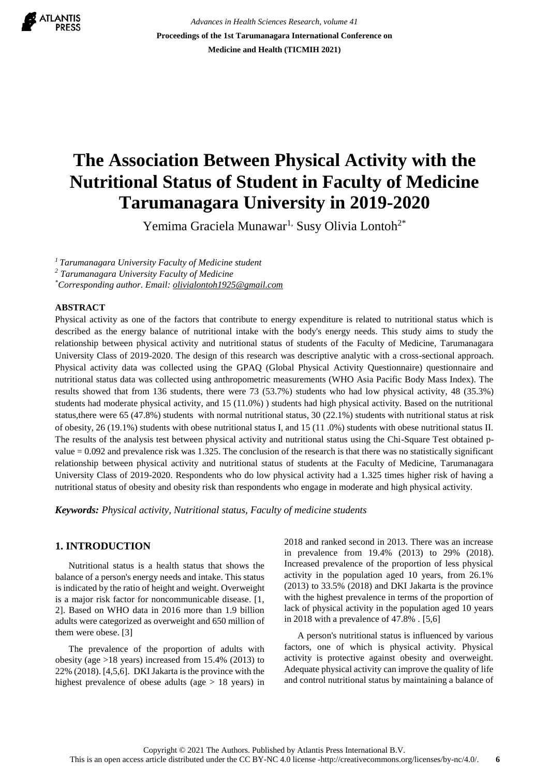

*Advances in Health Sciences Research, volume 41* **Proceedings of the 1st Tarumanagara International Conference on Medicine and Health (TICMIH 2021)**

# **The Association Between Physical Activity with the Nutritional Status of Student in Faculty of Medicine Tarumanagara University in 2019-2020**

Yemima Graciela Munawar<sup>1,</sup> Susy Olivia Lontoh<sup>2\*</sup>

*<sup>1</sup>Tarumanagara University Faculty of Medicine student*

*<sup>2</sup> Tarumanagara University Faculty of Medicine*

*\*Corresponding author. Email: olivialontoh1925@gmail.com*

## **ABSTRACT**

Physical activity as one of the factors that contribute to energy expenditure is related to nutritional status which is described as the energy balance of nutritional intake with the body's energy needs. This study aims to study the relationship between physical activity and nutritional status of students of the Faculty of Medicine, Tarumanagara University Class of 2019-2020. The design of this research was descriptive analytic with a cross-sectional approach. Physical activity data was collected using the GPAQ (Global Physical Activity Questionnaire) questionnaire and nutritional status data was collected using anthropometric measurements (WHO Asia Pacific Body Mass Index). The results showed that from 136 students, there were 73 (53.7%) students who had low physical activity, 48 (35.3%) students had moderate physical activity, and 15 (11.0%) ) students had high physical activity. Based on the nutritional status,there were 65 (47.8%) students with normal nutritional status, 30 (22.1%) students with nutritional status at risk of obesity, 26 (19.1%) students with obese nutritional status I, and 15 (11 .0%) students with obese nutritional status II. The results of the analysis test between physical activity and nutritional status using the Chi-Square Test obtained pvalue = 0.092 and prevalence risk was 1.325. The conclusion of the research is that there was no statistically significant relationship between physical activity and nutritional status of students at the Faculty of Medicine, Tarumanagara University Class of 2019-2020. Respondents who do low physical activity had a 1.325 times higher risk of having a nutritional status of obesity and obesity risk than respondents who engage in moderate and high physical activity.

*Keywords: Physical activity, Nutritional status, Faculty of medicine students*

# **1. INTRODUCTION**

Nutritional status is a health status that shows the balance of a person's energy needs and intake. This status is indicated by the ratio of height and weight. Overweight is a major risk factor for noncommunicable disease. [1, 2]. Based on WHO data in 2016 more than 1.9 billion adults were categorized as overweight and 650 million of them were obese. [3]

The prevalence of the proportion of adults with obesity (age >18 years) increased from 15.4% (2013) to 22% (2018). [4,5,6]. DKI Jakarta is the province with the highest prevalence of obese adults (age  $> 18$  years) in 2018 and ranked second in 2013. There was an increase in prevalence from 19.4% (2013) to 29% (2018). Increased prevalence of the proportion of less physical activity in the population aged 10 years, from 26.1% (2013) to 33.5% (2018) and DKI Jakarta is the province with the highest prevalence in terms of the proportion of lack of physical activity in the population aged 10 years in 2018 with a prevalence of 47.8% . [5,6]

A person's nutritional status is influenced by various factors, one of which is physical activity. Physical activity is protective against obesity and overweight. Adequate physical activity can improve the quality of life and control nutritional status by maintaining a balance of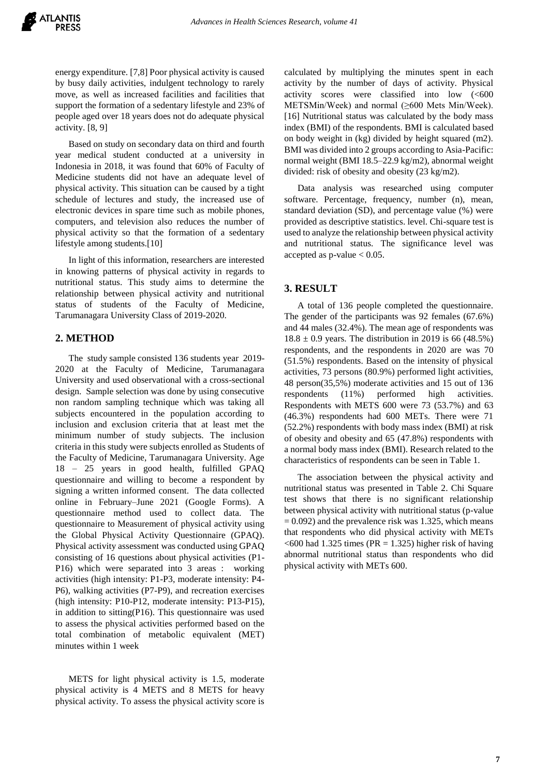energy expenditure. [7,8] Poor physical activity is caused by busy daily activities, indulgent technology to rarely move, as well as increased facilities and facilities that support the formation of a sedentary lifestyle and 23% of people aged over 18 years does not do adequate physical activity. [8, 9]

Based on study on secondary data on third and fourth year medical student conducted at a university in Indonesia in 2018, it was found that 60% of Faculty of Medicine students did not have an adequate level of physical activity. This situation can be caused by a tight schedule of lectures and study, the increased use of electronic devices in spare time such as mobile phones, computers, and television also reduces the number of physical activity so that the formation of a sedentary lifestyle among students.[10]

In light of this information, researchers are interested in knowing patterns of physical activity in regards to nutritional status. This study aims to determine the relationship between physical activity and nutritional status of students of the Faculty of Medicine, Tarumanagara University Class of 2019-2020.

#### **2. METHOD**

The study sample consisted 136 students year 2019- 2020 at the Faculty of Medicine, Tarumanagara University and used observational with a cross-sectional design. Sample selection was done by using consecutive non random sampling technique which was taking all subjects encountered in the population according to inclusion and exclusion criteria that at least met the minimum number of study subjects. The inclusion criteria in this study were subjects enrolled as Students of the Faculty of Medicine, Tarumanagara University. Age 18 – 25 years in good health, fulfilled GPAQ questionnaire and willing to become a respondent by signing a written informed consent. The data collected online in February–June 2021 (Google Forms). A questionnaire method used to collect data. The questionnaire to Measurement of physical activity using the Global Physical Activity Questionnaire (GPAQ). Physical activity assessment was conducted using GPAQ consisting of 16 questions about physical activities (P1- P16) which were separated into 3 areas : working activities (high intensity: P1-P3, moderate intensity: P4- P6), walking activities (P7-P9), and recreation exercises (high intensity: P10-P12, moderate intensity: P13-P15), in addition to sitting(P16). This questionnaire was used to assess the physical activities performed based on the total combination of metabolic equivalent (MET) minutes within 1 week

METS for light physical activity is 1.5, moderate physical activity is 4 METS and 8 METS for heavy physical activity. To assess the physical activity score is

calculated by multiplying the minutes spent in each activity by the number of days of activity. Physical activity scores were classified into low (<600 METSMin/Week) and normal (≥600 Mets Min/Week). [16] Nutritional status was calculated by the body mass index (BMI) of the respondents. BMI is calculated based on body weight in (kg) divided by height squared (m2). BMI was divided into 2 groups according to Asia-Pacific: normal weight (BMI 18.5–22.9 kg/m2), abnormal weight divided: risk of obesity and obesity (23 kg/m2).

Data analysis was researched using computer software. Percentage, frequency, number (n), mean, standard deviation (SD), and percentage value (%) were provided as descriptive statistics. level. Chi-square test is used to analyze the relationship between physical activity and nutritional status. The significance level was accepted as  $p$ -value  $< 0.05$ .

# **3. RESULT**

A total of 136 people completed the questionnaire. The gender of the participants was 92 females (67.6%) and 44 males (32.4%). The mean age of respondents was  $18.8 \pm 0.9$  years. The distribution in 2019 is 66 (48.5%) respondents, and the respondents in 2020 are was 70 (51.5%) respondents. Based on the intensity of physical activities, 73 persons (80.9%) performed light activities, 48 person(35,5%) moderate activities and 15 out of 136 respondents (11%) performed high activities. Respondents with METS 600 were 73 (53.7%) and 63 (46.3%) respondents had 600 METs. There were 71 (52.2%) respondents with body mass index (BMI) at risk of obesity and obesity and 65 (47.8%) respondents with a normal body mass index (BMI). Research related to the characteristics of respondents can be seen in Table 1.

The association between the physical activity and nutritional status was presented in Table 2. Chi Square test shows that there is no significant relationship between physical activity with nutritional status (p-value  $= 0.092$ ) and the prevalence risk was 1.325, which means that respondents who did physical activity with METs  $<$  600 had 1.325 times (PR = 1.325) higher risk of having abnormal nutritional status than respondents who did physical activity with METs 600.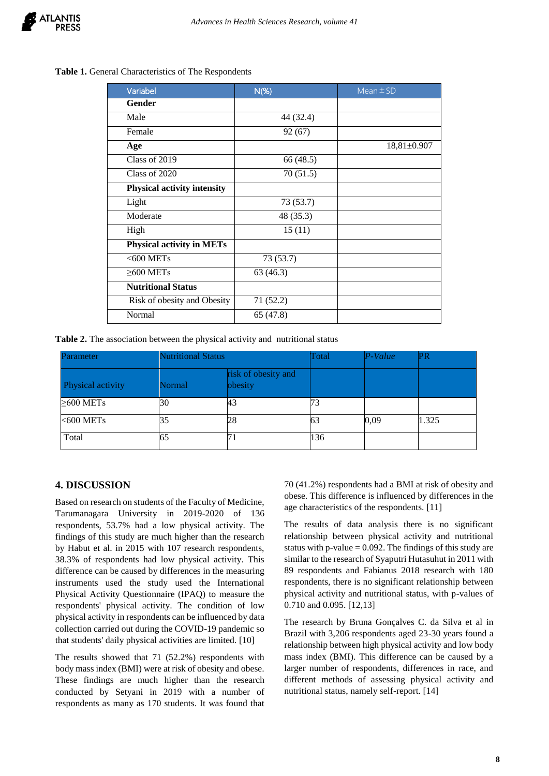#### **Table 1.** General Characteristics of The Respondents

| Variabel                           | $N$ (%)   | Mean $\pm$ SD     |
|------------------------------------|-----------|-------------------|
| Gender                             |           |                   |
| Male                               | 44 (32.4) |                   |
| Female                             | 92(67)    |                   |
| Age                                |           | $18,81 \pm 0.907$ |
| Class of 2019                      | 66 (48.5) |                   |
| Class of 2020                      | 70(51.5)  |                   |
| <b>Physical activity intensity</b> |           |                   |
| Light                              | 73(53.7)  |                   |
| Moderate                           | 48 (35.3) |                   |
| High                               | 15(11)    |                   |
| <b>Physical activity in METs</b>   |           |                   |
| $<$ 600 METs                       | 73 (53.7) |                   |
| $\geq$ 600 METs                    | 63(46.3)  |                   |
| <b>Nutritional Status</b>          |           |                   |
| Risk of obesity and Obesity        | 71(52.2)  |                   |
| Normal                             | 65 (47.8) |                   |

**Table 2.** The association between the physical activity and nutritional status

| <b>Parameter</b>  | <b>Nutritional Status</b> |                                | Total | P-Value | PR    |
|-------------------|---------------------------|--------------------------------|-------|---------|-------|
| Physical activity | Normal                    | risk of obesity and<br>obesity |       |         |       |
| $\geq$ 600 METs   | 30                        | 43                             |       |         |       |
| $<$ 600 METs      | 35                        | 28                             | 63    | 0,09    | 1.325 |
| Total             | 65                        | l7 j                           | 136   |         |       |

# **4. DISCUSSION**

Based on research on students of the Faculty of Medicine, Tarumanagara University in 2019-2020 of 136 respondents, 53.7% had a low physical activity. The findings of this study are much higher than the research by Habut et al. in 2015 with 107 research respondents, 38.3% of respondents had low physical activity. This difference can be caused by differences in the measuring instruments used the study used the International Physical Activity Questionnaire (IPAQ) to measure the respondents' physical activity. The condition of low physical activity in respondents can be influenced by data collection carried out during the COVID-19 pandemic so that students' daily physical activities are limited. [10]

The results showed that 71 (52.2%) respondents with body mass index (BMI) were at risk of obesity and obese. These findings are much higher than the research conducted by Setyani in 2019 with a number of respondents as many as 170 students. It was found that 70 (41.2%) respondents had a BMI at risk of obesity and obese. This difference is influenced by differences in the age characteristics of the respondents. [11]

The results of data analysis there is no significant relationship between physical activity and nutritional status with p-value  $= 0.092$ . The findings of this study are similar to the research of Syaputri Hutasuhut in 2011 with 89 respondents and Fabianus 2018 research with 180 respondents, there is no significant relationship between physical activity and nutritional status, with p-values of 0.710 and 0.095. [12,13]

The research by Bruna Gonçalves C. da Silva et al in Brazil with 3,206 respondents aged 23-30 years found a relationship between high physical activity and low body mass index (BMI). This difference can be caused by a larger number of respondents, differences in race, and different methods of assessing physical activity and nutritional status, namely self-report. [14]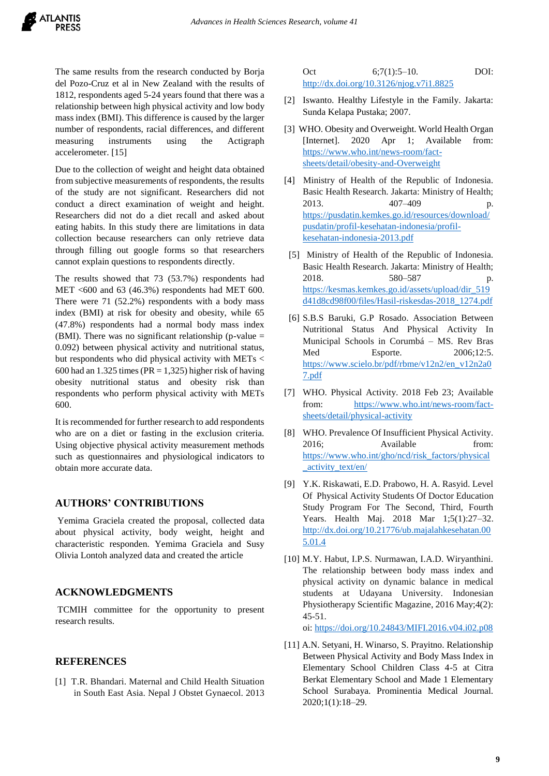The same results from the research conducted by Borja del Pozo-Cruz et al in New Zealand with the results of 1812, respondents aged 5-24 years found that there was a relationship between high physical activity and low body mass index (BMI). This difference is caused by the larger number of respondents, racial differences, and different measuring instruments using the Actigraph accelerometer. [15]

Due to the collection of weight and height data obtained from subjective measurements of respondents, the results of the study are not significant. Researchers did not conduct a direct examination of weight and height. Researchers did not do a diet recall and asked about eating habits. In this study there are limitations in data collection because researchers can only retrieve data through filling out google forms so that researchers cannot explain questions to respondents directly.

The results showed that 73 (53.7%) respondents had MET <600 and 63 (46.3%) respondents had MET 600. There were 71 (52.2%) respondents with a body mass index (BMI) at risk for obesity and obesity, while 65 (47.8%) respondents had a normal body mass index (BMI). There was no significant relationship (p-value  $=$ 0.092) between physical activity and nutritional status, but respondents who did physical activity with METs < 600 had an 1.325 times ( $PR = 1,325$ ) higher risk of having obesity nutritional status and obesity risk than respondents who perform physical activity with METs 600.

It is recommended for further research to add respondents who are on a diet or fasting in the exclusion criteria. Using objective physical activity measurement methods such as questionnaires and physiological indicators to obtain more accurate data.

## **AUTHORS' CONTRIBUTIONS**

Yemima Graciela created the proposal, collected data about physical activity, body weight, height and characteristic responden. Yemima Graciela and Susy Olivia Lontoh analyzed data and created the article

#### **ACKNOWLEDGMENTS**

TCMIH committee for the opportunity to present research results.

# **REFERENCES**

[1] T.R. Bhandari. Maternal and Child Health Situation in South East Asia. Nepal J Obstet Gynaecol. 2013 Oct 6;7(1):5–10. DOI: <http://dx.doi.org/10.3126/njog.v7i1.8825>

- [2] Iswanto. Healthy Lifestyle in the Family. Jakarta: Sunda Kelapa Pustaka; 2007.
- [3] WHO. Obesity and Overweight. World Health Organ [Internet]. 2020 Apr 1; Available from: [https://www.who.int/news-room/fact](https://www.who.int/news-room/fact-sheets/detail/obesity-and-Overweight)[sheets/detail/obesity-and-Overweight](https://www.who.int/news-room/fact-sheets/detail/obesity-and-Overweight)
- [4] Ministry of Health of the Republic of Indonesia. Basic Health Research. Jakarta: Ministry of Health; 2013. 407–409 [https://pusdatin.kemkes.go.id/resources/download/](https://pusdatin.kemkes.go.id/resources/download/pusdatin/profil-kesehatan-indonesia/profil-kesehatan-indonesia-2013.pdf) [pusdatin/profil-kesehatan-indonesia/profil](https://pusdatin.kemkes.go.id/resources/download/pusdatin/profil-kesehatan-indonesia/profil-kesehatan-indonesia-2013.pdf)[kesehatan-indonesia-2013.pdf](https://pusdatin.kemkes.go.id/resources/download/pusdatin/profil-kesehatan-indonesia/profil-kesehatan-indonesia-2013.pdf)
- [5] Ministry of Health of the Republic of Indonesia. Basic Health Research. Jakarta: Ministry of Health; 2018. 580–587 p. [https://kesmas.kemkes.go.id/assets/upload/dir\\_519](https://kesmas.kemkes.go.id/assets/upload/dir_519d41d8cd98f00/files/Hasil-riskesdas-2018_1274.pdf) [d41d8cd98f00/files/Hasil-riskesdas-2018\\_1274.pdf](https://kesmas.kemkes.go.id/assets/upload/dir_519d41d8cd98f00/files/Hasil-riskesdas-2018_1274.pdf)
- [6] S.B.S Baruki, G.P Rosado. Association Between Nutritional Status And Physical Activity In Municipal Schools in Corumbá – MS. Rev Bras Med Esporte. 2006;12:5. [https://www.scielo.br/pdf/rbme/v12n2/en\\_v12n2a0](https://www.scielo.br/pdf/rbme/v12n2/en_v12n2a07.pdf) [7.pdf](https://www.scielo.br/pdf/rbme/v12n2/en_v12n2a07.pdf)
- [7] WHO. Physical Activity. 2018 Feb 23; Available from: [https://www.who.int/news-room/fact](https://www.who.int/news-room/fact-sheets/detail/physical-activity)[sheets/detail/physical-activity](https://www.who.int/news-room/fact-sheets/detail/physical-activity)
- [8] WHO. Prevalence Of Insufficient Physical Activity. 2016; Available from: [https://www.who.int/gho/ncd/risk\\_factors/physical](https://www.who.int/gho/ncd/risk_factors/physical_activity_text/en/) [\\_activity\\_text/en/](https://www.who.int/gho/ncd/risk_factors/physical_activity_text/en/)
- [9] Y.K. Riskawati, E.D. Prabowo, H. A. Rasyid. Level Of Physical Activity Students Of Doctor Education Study Program For The Second, Third, Fourth Years. Health Maj. 2018 Mar 1;5(1):27–32. [http://dx.doi.org/10.21776/ub.majalahkesehatan.00](http://dx.doi.org/10.21776/ub.majalahkesehatan.005.01.4) [5.01.4](http://dx.doi.org/10.21776/ub.majalahkesehatan.005.01.4)
- [10] M.Y. Habut, I.P.S. Nurmawan, I.A.D. Wiryanthini. The relationship between body mass index and physical activity on dynamic balance in medical students at Udayana University. Indonesian Physiotherapy Scientific Magazine, 2016 May;4(2): 45-51.

oi: <https://doi.org/10.24843/MIFI.2016.v04.i02.p08>

[11] A.N. Setyani, H. Winarso, S. Prayitno. Relationship Between Physical Activity and Body Mass Index in Elementary School Children Class 4-5 at Citra Berkat Elementary School and Made 1 Elementary School Surabaya. Prominentia Medical Journal. 2020;1(1):18–29.